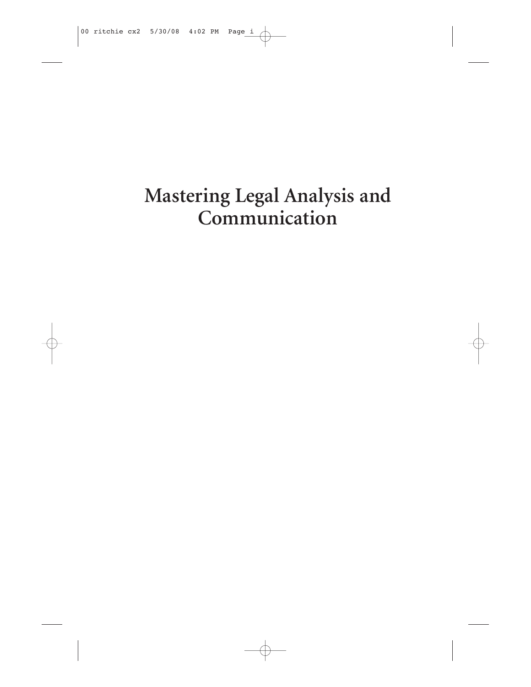## Mastering Legal Analysis and Communication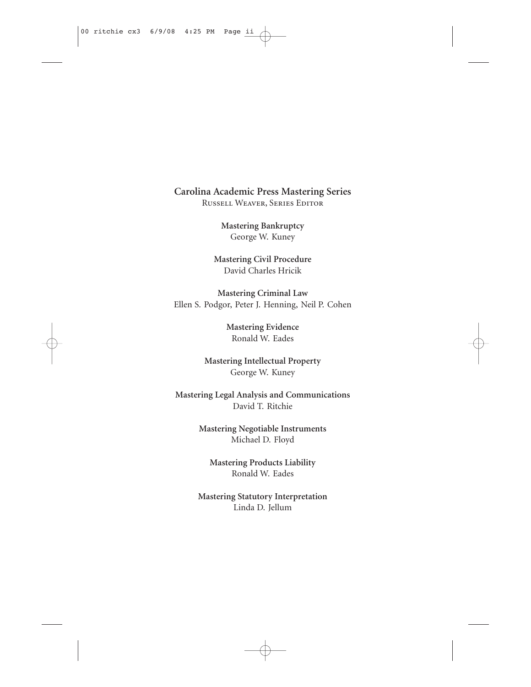#### **Carolina Academic Press Mastering Series** Russell Weaver, Series Editor

**Mastering Bankruptcy** George W. Kuney

**Mastering Civil Procedure** David Charles Hricik

**Mastering Criminal Law** Ellen S. Podgor, Peter J. Henning, Neil P. Cohen

> **Mastering Evidence** Ronald W. Eades

**Mastering Intellectual Property** George W. Kuney

**Mastering Legal Analysis and Communications** David T. Ritchie

> **Mastering Negotiable Instruments** Michael D. Floyd

**Mastering Products Liability** Ronald W. Eades

**Mastering Statutory Interpretation** Linda D. Jellum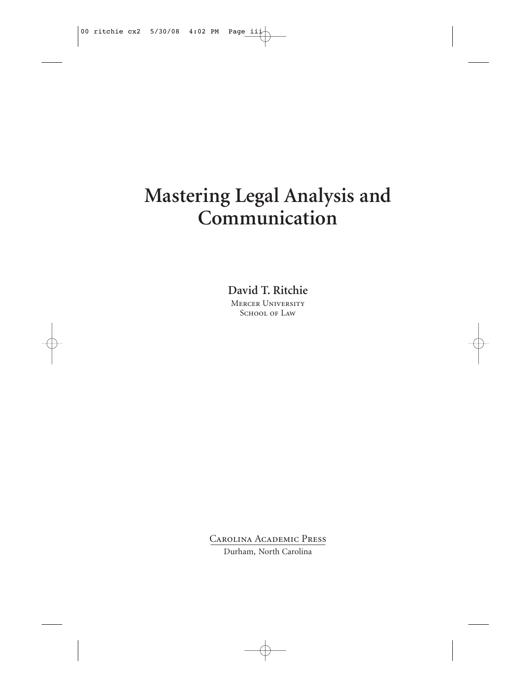## **Mastering Legal Analysis and Communication**

**David T. Ritchie**

Mercer University SCHOOL OF LAW

Carolina Academic Press

Durham, North Carolina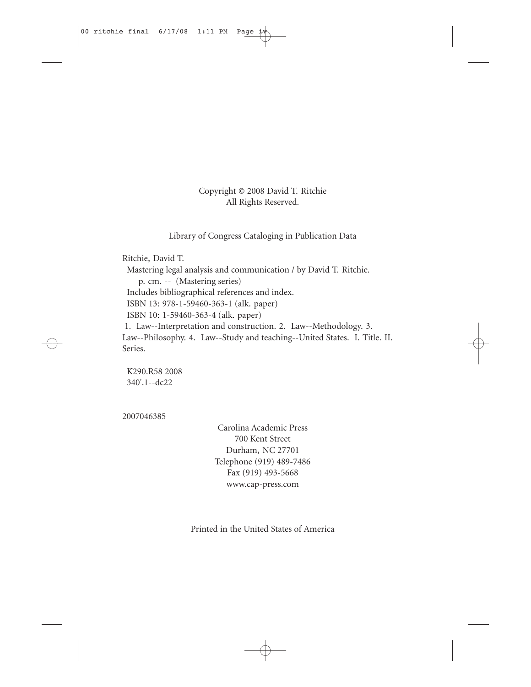Copyright © 2008 David T. Ritchie All Rights Reserved.

Library of Congress Cataloging in Publication Data

Ritchie, David T.

Mastering legal analysis and communication / by David T. Ritchie.

p. cm. -- (Mastering series)

Includes bibliographical references and index.

ISBN 13: 978-1-59460-363-1 (alk. paper)

ISBN 10: 1-59460-363-4 (alk. paper)

1. Law--Interpretation and construction. 2. Law--Methodology. 3. Law--Philosophy. 4. Law--Study and teaching--United States. I. Title. II. Series.

K290.R58 2008 340'.1--dc22

2007046385

Carolina Academic Press 700 Kent Street Durham, NC 27701 Telephone (919) 489-7486 Fax (919) 493-5668 www.cap-press.com

Printed in the United States of America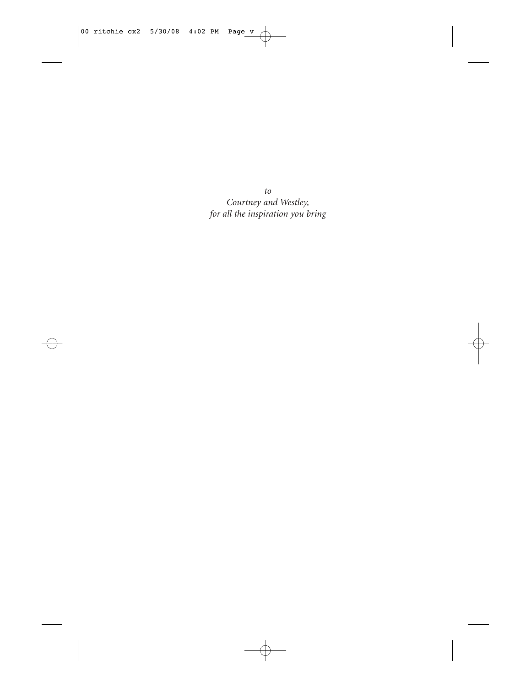*to Courtney and Westley, for all the inspiration you bring*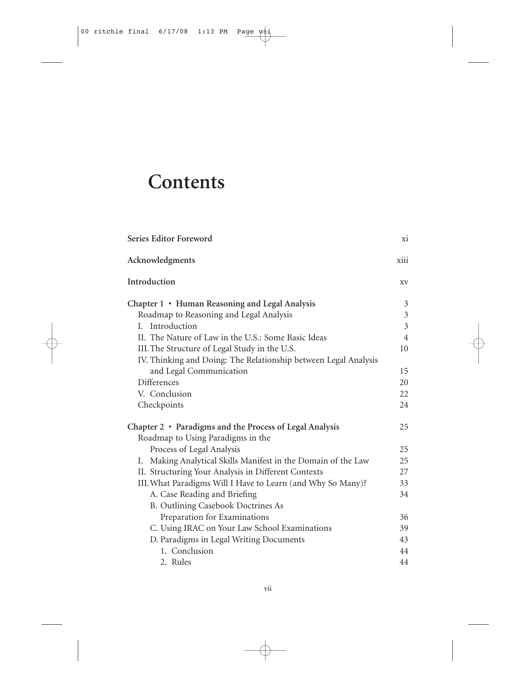# **Contents**

| Series Editor Foreword                                           | xi             |
|------------------------------------------------------------------|----------------|
| Acknowledgments                                                  | xiii           |
| Introduction                                                     | XV             |
| Chapter 1 • Human Reasoning and Legal Analysis                   | $\mathfrak{Z}$ |
| Roadmap to Reasoning and Legal Analysis                          | $\mathfrak{Z}$ |
| I. Introduction                                                  | $\overline{3}$ |
| II. The Nature of Law in the U.S.: Some Basic Ideas              | $\overline{4}$ |
| III. The Structure of Legal Study in the U.S.                    | 10             |
| IV. Thinking and Doing: The Relationship between Legal Analysis  |                |
| and Legal Communication                                          | 15             |
| <b>Differences</b>                                               | 20             |
| V. Conclusion                                                    | 22             |
| Checkpoints                                                      | 24             |
| Chapter 2 • Paradigms and the Process of Legal Analysis          | 25             |
| Roadmap to Using Paradigms in the                                |                |
| Process of Legal Analysis                                        | 25             |
| Making Analytical Skills Manifest in the Domain of the Law<br>Ι. | 25             |
| II. Structuring Your Analysis in Different Contexts              | 27             |
| III. What Paradigms Will I Have to Learn (and Why So Many)?      | 33             |
| A. Case Reading and Briefing                                     | 34             |
| B. Outlining Casebook Doctrines As                               |                |
| Preparation for Examinations                                     | 36             |
| C. Using IRAC on Your Law School Examinations                    | 39             |
| D. Paradigms in Legal Writing Documents                          | 43             |
| 1. Conclusion                                                    | 44             |
| 2. Rules                                                         | 44             |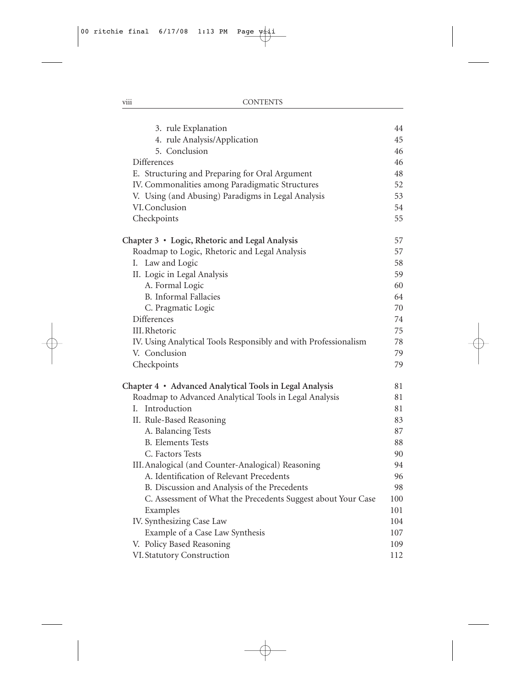| 3. rule Explanation                                             | 44  |
|-----------------------------------------------------------------|-----|
| 4. rule Analysis/Application                                    | 45  |
| 5. Conclusion                                                   | 46  |
| <b>Differences</b>                                              | 46  |
| E. Structuring and Preparing for Oral Argument                  | 48  |
| IV. Commonalities among Paradigmatic Structures                 | 52  |
| V. Using (and Abusing) Paradigms in Legal Analysis              | 53  |
| VI. Conclusion                                                  | 54  |
| Checkpoints                                                     | 55  |
| Chapter 3 · Logic, Rhetoric and Legal Analysis                  | 57  |
| Roadmap to Logic, Rhetoric and Legal Analysis                   | 57  |
| I. Law and Logic                                                | 58  |
| II. Logic in Legal Analysis                                     | 59  |
| A. Formal Logic                                                 | 60  |
| <b>B.</b> Informal Fallacies                                    | 64  |
| C. Pragmatic Logic                                              | 70  |
| Differences                                                     | 74  |
| III. Rhetoric                                                   | 75  |
| IV. Using Analytical Tools Responsibly and with Professionalism | 78  |
| V. Conclusion                                                   | 79  |
| Checkpoints                                                     | 79  |
| Chapter 4 · Advanced Analytical Tools in Legal Analysis         | 81  |
| Roadmap to Advanced Analytical Tools in Legal Analysis          | 81  |
| I. Introduction                                                 | 81  |
| II. Rule-Based Reasoning                                        | 83  |
| A. Balancing Tests                                              | 87  |
| <b>B.</b> Elements Tests                                        | 88  |
| C. Factors Tests                                                | 90  |
| III. Analogical (and Counter-Analogical) Reasoning              | 94  |
| A. Identification of Relevant Precedents                        | 96  |
| B. Discussion and Analysis of the Precedents                    | 98  |
| C. Assessment of What the Precedents Suggest about Your Case    | 100 |
| Examples                                                        | 101 |
| IV. Synthesizing Case Law                                       | 104 |
| Example of a Case Law Synthesis                                 | 107 |
| V. Policy Based Reasoning                                       | 109 |
| VI. Statutory Construction                                      | 112 |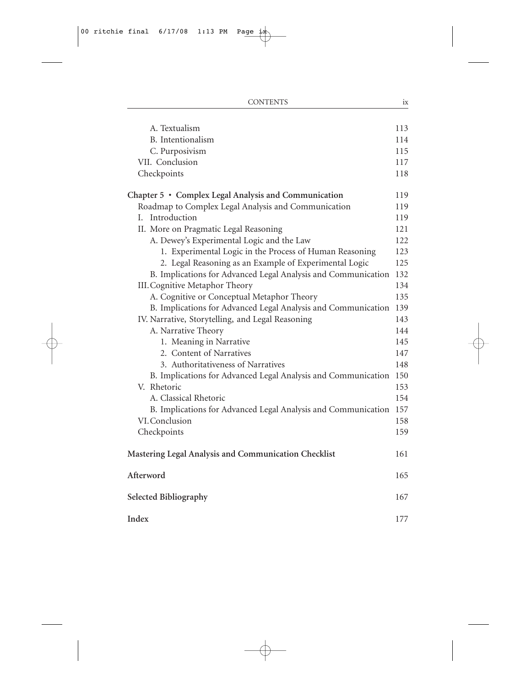| A. Textualism                                                 | 113 |
|---------------------------------------------------------------|-----|
| <b>B.</b> Intentionalism                                      | 114 |
| C. Purposivism                                                | 115 |
| VII. Conclusion                                               | 117 |
| Checkpoints                                                   | 118 |
| Chapter 5 • Complex Legal Analysis and Communication          | 119 |
| Roadmap to Complex Legal Analysis and Communication           | 119 |
| I. Introduction                                               | 119 |
| II. More on Pragmatic Legal Reasoning                         | 121 |
| A. Dewey's Experimental Logic and the Law                     | 122 |
| 1. Experimental Logic in the Process of Human Reasoning       | 123 |
| 2. Legal Reasoning as an Example of Experimental Logic        | 125 |
| B. Implications for Advanced Legal Analysis and Communication | 132 |
| III. Cognitive Metaphor Theory                                | 134 |
| A. Cognitive or Conceptual Metaphor Theory                    | 135 |
| B. Implications for Advanced Legal Analysis and Communication | 139 |
| IV. Narrative, Storytelling, and Legal Reasoning              | 143 |
| A. Narrative Theory                                           | 144 |
| 1. Meaning in Narrative                                       | 145 |
| 2. Content of Narratives                                      | 147 |
| 3. Authoritativeness of Narratives                            | 148 |
| B. Implications for Advanced Legal Analysis and Communication | 150 |
| V. Rhetoric                                                   | 153 |
| A. Classical Rhetoric                                         | 154 |
| B. Implications for Advanced Legal Analysis and Communication | 157 |
| VI. Conclusion                                                | 158 |
| Checkpoints                                                   | 159 |
| Mastering Legal Analysis and Communication Checklist          | 161 |
| Afterword                                                     | 165 |
| Selected Bibliography                                         | 167 |
| Index                                                         | 177 |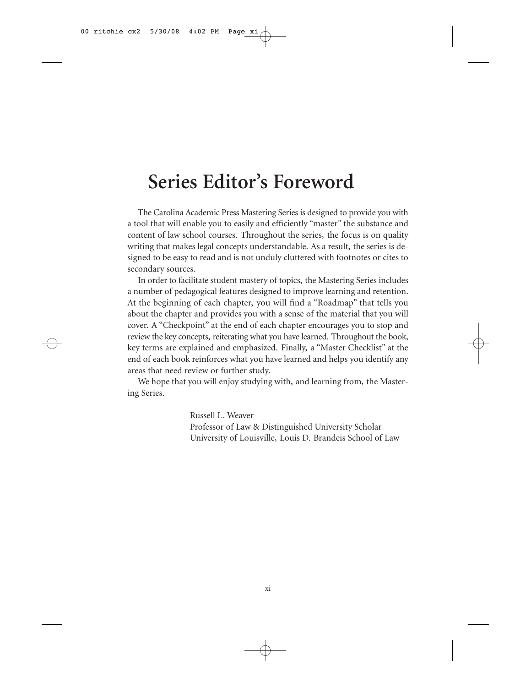#### **Series Editor's Foreword**

The Carolina Academic Press Mastering Series is designed to provide you with a tool that will enable you to easily and efficiently "master" the substance and content of law school courses. Throughout the series, the focus is on quality writing that makes legal concepts understandable. As a result, the series is designed to be easy to read and is not unduly cluttered with footnotes or cites to secondary sources.

In order to facilitate student mastery of topics, the Mastering Series includes a number of pedagogical features designed to improve learning and retention. At the beginning of each chapter, you will find a "Roadmap" that tells you about the chapter and provides you with a sense of the material that you will cover. A "Checkpoint" at the end of each chapter encourages you to stop and review the key concepts, reiterating what you have learned. Throughout the book, key terms are explained and emphasized. Finally, a "Master Checklist" at the end of each book reinforces what you have learned and helps you identify any areas that need review or further study.

We hope that you will enjoy studying with, and learning from, the Mastering Series.

> Russell L. Weaver Professor of Law & Distinguished University Scholar University of Louisville, Louis D. Brandeis School of Law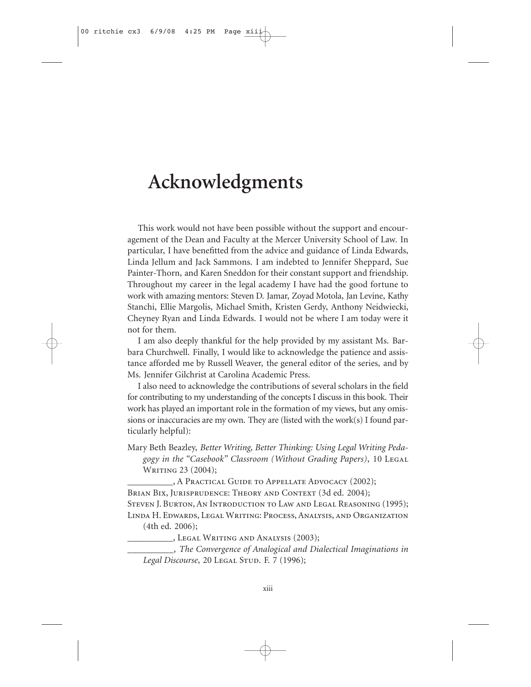### **Acknowledgments**

This work would not have been possible without the support and encouragement of the Dean and Faculty at the Mercer University School of Law. In particular, I have benefitted from the advice and guidance of Linda Edwards, Linda Jellum and Jack Sammons. I am indebted to Jennifer Sheppard, Sue Painter-Thorn, and Karen Sneddon for their constant support and friendship. Throughout my career in the legal academy I have had the good fortune to work with amazing mentors: Steven D. Jamar, Zoyad Motola, Jan Levine, Kathy Stanchi, Ellie Margolis, Michael Smith, Kristen Gerdy, Anthony Neidwiecki, Cheyney Ryan and Linda Edwards. I would not be where I am today were it not for them.

I am also deeply thankful for the help provided by my assistant Ms. Barbara Churchwell. Finally, I would like to acknowledge the patience and assistance afforded me by Russell Weaver, the general editor of the series, and by Ms. Jennifer Gilchrist at Carolina Academic Press.

I also need to acknowledge the contributions of several scholars in the field for contributing to my understanding of the concepts I discuss in this book. Their work has played an important role in the formation of my views, but any omissions or inaccuracies are my own. They are (listed with the work(s) I found particularly helpful):

Mary Beth Beazley, *Better Writing, Better Thinking: Using Legal Writing Pedagogy in the "Casebook" Classroom (Without Grading Papers)*, 10 Legal WRITING 23 (2004);

\_\_\_\_\_\_\_\_\_\_, A Practical Guide to Appellate Advocacy (2002);

BRIAN BIX, JURISPRUDENCE: THEORY AND CONTEXT (3d ed. 2004);

STEVEN J. BURTON, AN INTRODUCTION TO LAW AND LEGAL REASONING (1995); Linda H. Edwards, Legal Writing: Process, Analysis, and Organization

(4th ed. 2006);

\_\_\_\_\_\_\_\_\_\_, Legal Writing and Analysis (2003);

\_\_\_\_\_\_\_\_\_\_, *The Convergence of Analogical and Dialectical Imaginations in* Legal Discourse, 20 Legal Stup. F. 7 (1996);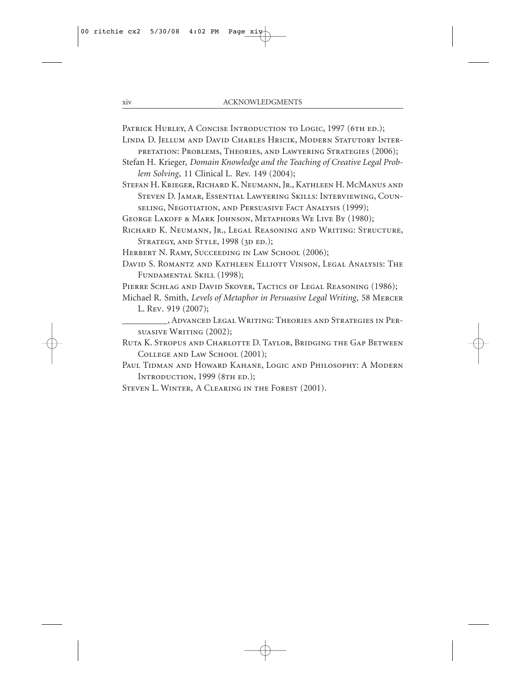PATRICK HURLEY, A CONCISE INTRODUCTION TO LOGIC, 1997 (6TH ED.);

- Linda D. Jellum and David Charles Hricik, Modern Statutory Interpretation: Problems, Theories, and Lawyering Strategies (2006);
- Stefan H. Krieger, *Domain Knowledge and the Teaching of Creative Legal Problem Solving*, 11 Clinical L. Rev. 149 (2004);

Stefan H. Krieger, Richard K. Neumann, Jr., Kathleen H. McManus and Steven D. Jamar, Essential Lawyering Skills: Interviewing, Counseling, Negotiation, and Persuasive Fact Analysis (1999);

- GEORGE LAKOFF & MARK JOHNSON, METAPHORS WE LIVE BY (1980);
- Richard K. Neumann, Jr., Legal Reasoning and Writing: Structure, STRATEGY, AND STYLE, 1998 (3D ED.);
- HERBERT N. RAMY, SUCCEEDING IN LAW SCHOOL (2006);
- David S. Romantz and Kathleen Elliott Vinson, Legal Analysis: The Fundamental Skill (1998);
- PIERRE SCHLAG AND DAVID SKOVER, TACTICS OF LEGAL REASONING (1986);
- Michael R. Smith, *Levels of Metaphor in Persuasive Legal Writing*, 58 Mercer L. Rev. 919 (2007);
- \_\_\_\_\_\_\_\_\_\_, Advanced Legal Writing: Theories and Strategies in Persuasive Writing (2002);
- Ruta K. Stropus and Charlotte D. Taylor, Bridging the Gap Between COLLEGE AND LAW SCHOOL (2001);
- Paul Tidman and Howard Kahane, Logic and Philosophy: A Modern Introduction, 1999 (8th ed.);
- STEVEN L. WINTER, A CLEARING IN THE FOREST (2001).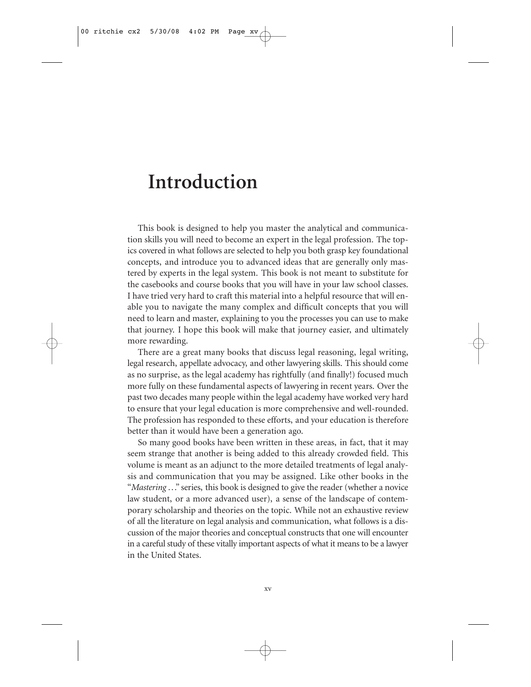#### **Introduction**

This book is designed to help you master the analytical and communication skills you will need to become an expert in the legal profession. The topics covered in what follows are selected to help you both grasp key foundational concepts, and introduce you to advanced ideas that are generally only mastered by experts in the legal system. This book is not meant to substitute for the casebooks and course books that you will have in your law school classes. I have tried very hard to craft this material into a helpful resource that will enable you to navigate the many complex and difficult concepts that you will need to learn and master, explaining to you the processes you can use to make that journey. I hope this book will make that journey easier, and ultimately more rewarding.

There are a great many books that discuss legal reasoning, legal writing, legal research, appellate advocacy, and other lawyering skills. This should come as no surprise, as the legal academy has rightfully (and finally!) focused much more fully on these fundamental aspects of lawyering in recent years. Over the past two decades many people within the legal academy have worked very hard to ensure that your legal education is more comprehensive and well-rounded. The profession has responded to these efforts, and your education is therefore better than it would have been a generation ago.

So many good books have been written in these areas, in fact, that it may seem strange that another is being added to this already crowded field. This volume is meant as an adjunct to the more detailed treatments of legal analysis and communication that you may be assigned. Like other books in the "*Mastering* ..." series, this book is designed to give the reader (whether a novice law student, or a more advanced user), a sense of the landscape of contemporary scholarship and theories on the topic. While not an exhaustive review of all the literature on legal analysis and communication, what follows is a discussion of the major theories and conceptual constructs that one will encounter in a careful study of these vitally important aspects of what it means to be a lawyer in the United States.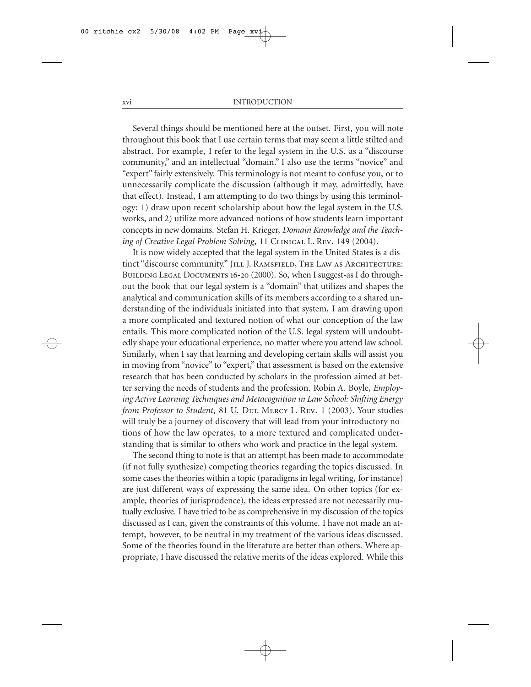Several things should be mentioned here at the outset. First, you will note throughout this book that I use certain terms that may seem a little stilted and abstract. For example, I refer to the legal system in the U.S. as a "discourse community," and an intellectual "domain." I also use the terms "novice" and "expert" fairly extensively. This terminology is not meant to confuse you, or to unnecessarily complicate the discussion (although it may, admittedly, have that effect). Instead, I am attempting to do two things by using this terminology: 1) draw upon recent scholarship about how the legal system in the U.S. works, and 2) utilize more advanced notions of how students learn important concepts in new domains. Stefan H. Krieger, *Domain Knowledge and the Teaching of Creative Legal Problem Solving*, 11 CLINICAL L. REV. 149 (2004).

It is now widely accepted that the legal system in the United States is a distinct "discourse community." JILL J. RAMSFIELD, THE LAW AS ARCHITECTURE: BUILDING LEGAL DOCUMENTS 16-20 (2000). So, when I suggest-as I do throughout the book-that our legal system is a "domain" that utilizes and shapes the analytical and communication skills of its members according to a shared understanding of the individuals initiated into that system, I am drawing upon a more complicated and textured notion of what our conception of the law entails. This more complicated notion of the U.S. legal system will undoubtedly shape your educational experience, no matter where you attend law school. Similarly, when I say that learning and developing certain skills will assist you in moving from "novice" to "expert," that assessment is based on the extensive research that has been conducted by scholars in the profession aimed at better serving the needs of students and the profession. Robin A. Boyle, *Employing Active Learning Techniques and Metacognition in Law School: Shifting Energy from Professor to Student*, 81 U. DET. MERCY L. REV. 1 (2003). Your studies will truly be a journey of discovery that will lead from your introductory notions of how the law operates, to a more textured and complicated understanding that is similar to others who work and practice in the legal system.

The second thing to note is that an attempt has been made to accommodate (if not fully synthesize) competing theories regarding the topics discussed. In some cases the theories within a topic (paradigms in legal writing, for instance) are just different ways of expressing the same idea. On other topics (for example, theories of jurisprudence), the ideas expressed are not necessarily mutually exclusive. I have tried to be as comprehensive in my discussion of the topics discussed as I can, given the constraints of this volume. I have not made an attempt, however, to be neutral in my treatment of the various ideas discussed. Some of the theories found in the literature are better than others. Where appropriate, I have discussed the relative merits of the ideas explored. While this